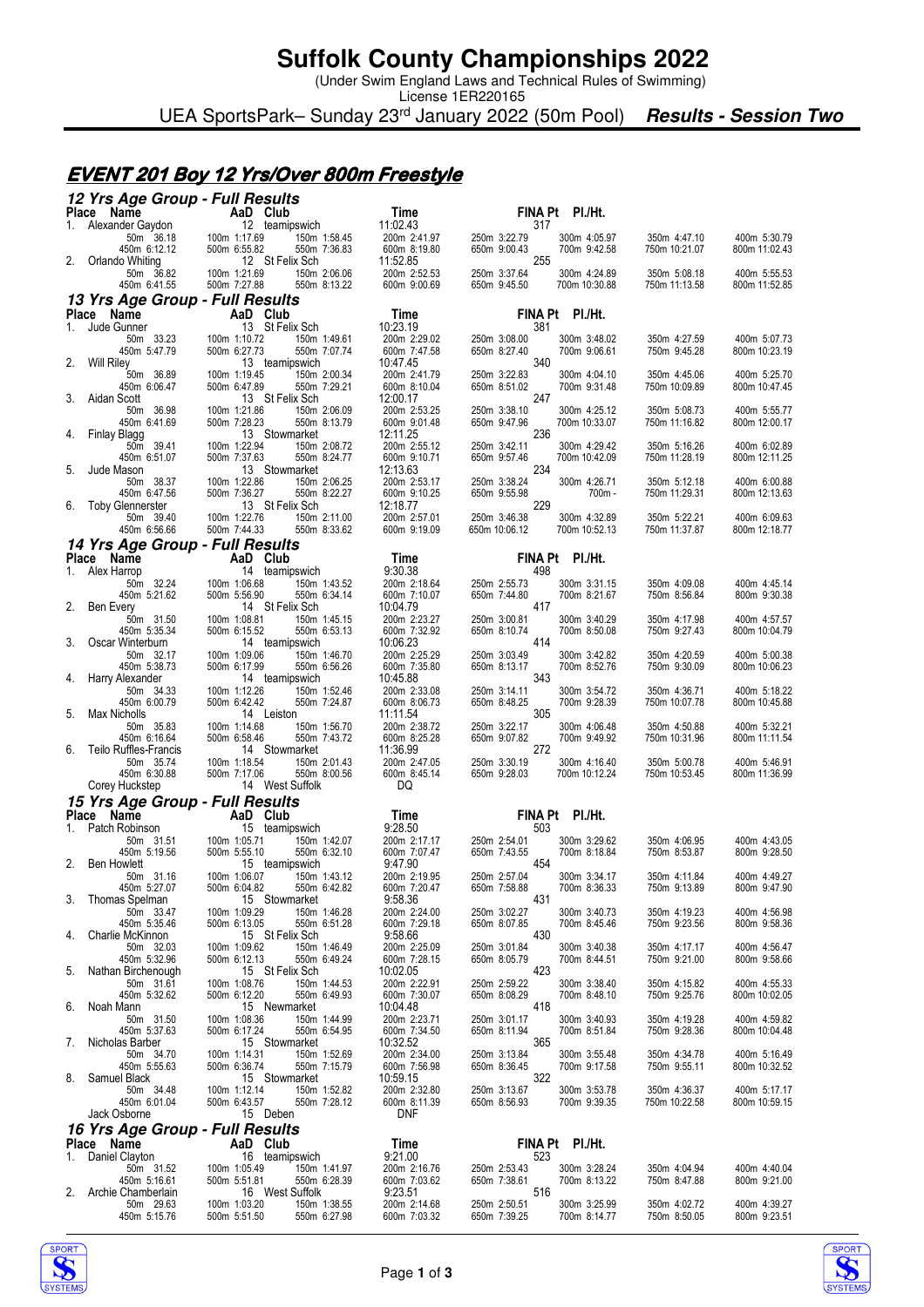### **Suffolk County Championships 2022**

(Under Swim England Laws and Technical Rules of Swimming)

License 1ER220165 UEA SportsPark– Sunday 23rd January 2022 (50m Pool) **Results - Session Two**

#### **EVENT 201 Boy 12 Yrs/Over 800m Freestyle**

|    | 12 Yrs Age Group - Full Results               |                                                              |                              |                                                              |                               |                               |
|----|-----------------------------------------------|--------------------------------------------------------------|------------------------------|--------------------------------------------------------------|-------------------------------|-------------------------------|
|    | Place Name                                    | AaD Club                                                     | Time                         | FINA Pt PI./Ht.                                              |                               |                               |
|    | 1. Alexander Gaydon<br>50m 36.18              | 12 teamipswich<br>100m 1:17.69<br>150m 1:58.45               | 11:02.43<br>200m 2:41.97     | 317<br>250m 3:22.79<br>300m 4:05.97                          | 350m 4:47.10                  | 400m 5:30.79                  |
|    | 450m 6:12.12                                  | 500m 6:55.82<br>550m 7:36.83                                 | 600m 8:19.80                 | 650m 9:00.43<br>700m 9:42.58                                 | 750m 10:21.07                 | 800m 11:02.43                 |
| 2. | Orlando Whiting                               | 12 St Felix Sch                                              | 11:52.85                     | 255                                                          |                               |                               |
|    | 50m 36.82                                     | 100m 1:21.69<br>150m 2:06.06                                 | 200m 2:52.53                 | 250m 3:37.64<br>300m 4:24.89                                 | 350m 5:08.18                  | 400m 5:55.53                  |
|    | 450m 6:41.55                                  | 500m 7:27.88<br>550m 8:13.22                                 | 600m 9:00.69                 | 650m 9:45.50<br>700m 10:30.88                                | 750m 11:13.58                 | 800m 11:52.85                 |
|    | 13 Yrs Age Group - Full Results               |                                                              |                              |                                                              |                               |                               |
| 1. | Place Name<br>Jude Gunner                     | AaD Club<br>13 St Felix Sch                                  | Time<br>10:23.19             | FINA Pt PI./Ht.<br>381                                       |                               |                               |
|    | 50m 33.23                                     | 100m 1:10.72<br>150m 1:49.61                                 | 200m 2:29.02                 | 250m 3:08.00<br>300m 3:48.02                                 | 350m 4:27.59                  | 400m 5:07.73                  |
|    | 450m 5:47.79                                  | 500m 6:27.73<br>550m 7:07.74                                 | 600m 7:47.58                 | 650m 8:27.40<br>700m 9:06.61                                 | 750m 9:45.28                  | 800m 10:23.19                 |
| 2. | <b>Will Riley</b>                             | 13 teamipswich                                               | 10:47.45                     | 340                                                          |                               |                               |
|    | 50m 36.89<br>450m 6:06.47                     | 100m 1:19.45<br>150m 2:00.34<br>500m 6:47.89<br>550m 7:29.21 | 200m 2:41.79<br>600m 8:10.04 | 250m 3:22.83<br>300m 4:04.10<br>650m 8:51.02<br>700m 9:31.48 | 350m 4:45.06<br>750m 10:09.89 | 400m 5:25.70<br>800m 10:47.45 |
| 3. | Aidan Scott                                   | 13 St Felix Sch                                              | 12:00.17                     | 247                                                          |                               |                               |
|    | 50m 36.98                                     | 100m 1:21.86<br>150m 2:06.09                                 | 200m 2:53.25                 | 250m 3:38.10<br>300m 4:25.12                                 | 350m 5:08.73                  | 400m 5:55.77                  |
| 4. | 450m 6:41.69                                  | 500m 7:28.23<br>550m 8:13.79<br>13 Stowmarket                | 600m 9:01.48<br>12:11.25     | 650m 9:47.96<br>700m 10:33.07<br>236                         | 750m 11:16.82                 | 800m 12:00.17                 |
|    | Finlay Blagg<br>50m 39.41                     | 100m 1:22.94<br>150m 2:08.72                                 | 200m 2:55.12                 | 250m 3:42.11<br>300m 4:29.42                                 | 350m 5:16.26                  | 400m 6:02.89                  |
|    | 450m 6:51.07                                  | 500m 7:37.63<br>550m 8:24.77                                 | 600m 9:10.71                 | 650m 9:57.46<br>700m 10:42.09                                | 750m 11:28.19                 | 800m 12:11.25                 |
| 5. | Jude Mason                                    | 13 Stowmarket                                                | 12:13.63                     | 234                                                          |                               |                               |
|    | 50m 38.37<br>450m 6:47.56                     | 100m 1:22.86<br>150m 2:06.25<br>500m 7:36.27<br>550m 8:22.27 | 200m 2:53.17<br>600m 9:10.25 | 250m 3:38.24<br>300m 4:26.71<br>650m 9:55.98<br>700m-        | 350m 5:12.18<br>750m 11:29.31 | 400m 6:00.88<br>800m 12:13.63 |
| 6. | Toby Glennerster                              | 13 St Felix Sch                                              | 12:18.77                     | 229                                                          |                               |                               |
|    | 50m 39.40                                     | 100m 1:22.76<br>150m 2:11.00                                 | 200m 2:57.01                 | 250m 3:46.38<br>300m 4:32.89                                 | 350m 5:22.21                  | 400m 6:09.63                  |
|    | 450m 6:56.66                                  | 500m 7:44.33<br>550m 8:33.62                                 | 600m 9:19.09                 | 650m 10:06.12<br>700m 10:52.13                               | 750m 11:37.87                 | 800m 12:18.77                 |
|    | 14 Yrs Age Group - Full Results               |                                                              |                              |                                                              |                               |                               |
| 1. | Place Name<br>Alex Harrop                     | AaD Club<br>14 teamipswich                                   | Time<br>9:30.38              | FINA Pt PI./Ht.<br>498                                       |                               |                               |
|    | 50m 32.24                                     | 100m 1:06.68<br>150m 1:43.52                                 | 200m 2:18.64                 | 250m 2:55.73<br>300m 3:31.15                                 | 350m 4:09.08                  | 400m 4:45.14                  |
|    | 450m 5:21.62                                  | 500m 5:56.90<br>550m 6:34.14                                 | 600m 7:10.07                 | 650m 7:44.80<br>700m 8:21.67                                 | 750m 8:56.84                  | 800m 9:30.38                  |
| 2. | <b>Ben Every</b><br>50m 31.50                 | 14 St Felix Sch<br>100m 1:08.81<br>150m 1:45.15              | 10:04.79<br>200m 2:23.27     | 417<br>250m 3:00.81<br>300m 3:40.29                          | 350m 4:17.98                  | 400m 4:57.57                  |
|    | 450m 5:35.34                                  | 500m 6:15.52<br>550m 6:53.13                                 | 600m 7:32.92                 | 650m 8:10.74<br>700m 8:50.08                                 | 750m 9:27.43                  | 800m 10:04.79                 |
| 3. | Oscar Winterburn                              | 14 teamipswich                                               | 10:06.23                     | 414                                                          |                               |                               |
|    | 50m 32.17<br>450m 5:38.73                     | 100m 1:09.06<br>150m 1:46.70<br>500m 6:17.99<br>550m 6:56.26 | 200m 2:25.29<br>600m 7:35.80 | 250m 3:03.49<br>300m 3:42.82<br>700m 8:52.76<br>650m 8:13.17 | 350m 4:20.59<br>750m 9:30.09  | 400m 5:00.38                  |
| 4. | Harry Alexander                               | 14 teamipswich                                               | 10:45.88                     | 343                                                          |                               | 800m 10:06.23                 |
|    | 50m 34.33                                     | 100m 1:12.26<br>150m 1:52.46                                 | 200m 2:33.08                 | 250m 3:14.11<br>300m 3:54.72                                 | 350m 4:36.71                  | 400m 5:18.22                  |
|    | 450m 6:00.79                                  | 500m 6:42.42<br>550m 7:24.87                                 | 600m 8:06.73                 | 650m 8:48.25<br>700m 9:28.39<br>305                          | 750m 10:07.78                 | 800m 10:45.88                 |
| 5. | Max Nicholls                                  | 14 Leiston                                                   | 11:11.54                     |                                                              |                               |                               |
|    |                                               |                                                              |                              |                                                              |                               |                               |
|    | 50m 35.83<br>450m 6:16.64                     | 100m 1:14.68<br>150m 1:56.70<br>500m 6:58.46<br>550m 7:43.72 | 200m 2:38.72<br>600m 8:25.28 | 250m 3:22.17<br>300m 4:06.48<br>650m 9:07.82<br>700m 9:49.92 | 350m 4:50.88<br>750m 10:31.96 | 400m 5:32.21<br>800m 11:11.54 |
| 6. | <b>Teilo Ruffles-Francis</b>                  | 14 Stowmarket                                                | 11:36.99                     | 272                                                          |                               |                               |
|    | 50m 35.74                                     | 100m 1:18.54<br>150m 2:01.43                                 | 200m 2:47.05                 | 250m 3:30.19<br>300m 4:16.40                                 | 350m 5:00.78                  | 400m 5:46.91                  |
|    | 450m 6:30.88<br>Corey Huckstep                | 500m 7:17.06<br>550m 8:00.56<br>14 West Suffolk              | 600m 8:45.14<br>DQ           | 650m 9:28.03<br>700m 10:12.24                                | 750m 10:53.45                 | 800m 11:36.99                 |
|    |                                               |                                                              |                              |                                                              |                               |                               |
|    | 15 Yrs Age Group - Full Results<br>Place Name | AaD Club                                                     | Time                         | FINA Pt PI./Ht.                                              |                               |                               |
|    | 1. Patch Robinson                             | 15 teamipswich                                               | 9:28.50                      | 503                                                          |                               |                               |
|    | 50m 31.51                                     | 100m 1:05.71<br>150m 1:42.07                                 | 200m 2:17.17                 | 300m 3:29.62<br>250m 2:54.01                                 | 350m 4:06.95                  | 400m 4:43.05                  |
| 2. | 450m 5:19.56<br><b>Ben Howlett</b>            | 500m 5:55.10<br>550m 6:32.10<br>15 teamipswich               | 600m 7:07.47<br>9:47.90      | 650m 7:43.55<br>700m 8:18.84<br>454                          | 750m 8:53.87                  | 800m 9:28.50                  |
|    | 50m 31.16                                     | 100m 1:06.07<br>150m 1:43.12                                 | 200m 2:19.95                 | 250m 2:57.04<br>300m 3:34.17                                 | 350m 4:11.84                  | 400m 4:49.27                  |
|    | 450m 5:27.07                                  | 500m 6:04.82<br>550m 6:42.82                                 | 600m 7:20.47                 | 650m 7:58.88<br>700m 8:36.33                                 | 750m 9:13.89                  | 800m 9:47.90                  |
| 3. | Thomas Spelman<br>50m 33.47                   | 15 Stowmarket<br>100m 1:09.29<br>150m 1:46.28                | 9:58.36<br>200m 2:24.00      | 431<br>250m 3:02.27<br>300m 3:40.73                          | 350m 4:19.23                  | 400m 4:56.98                  |
|    | 450m 5:35.46                                  | 500m 6:13.05<br>550m 6:51.28                                 | 600m 7:29.18                 | 650m 8:07.85<br>700m 8:45.46                                 | 750m 9:23.56                  | 800m 9:58.36                  |
| 4. | Charlie McKinnon                              | 15 St Felix Sch                                              | 9:58.66                      | 430                                                          |                               |                               |
|    | 50m 32.03<br>450m 5:32.96                     | 100m 1:09.62<br>150m 1:46.49<br>500m 6:12.13<br>550m 6:49.24 | 200m 2:25.09<br>600m 7:28.15 | 250m 3:01.84<br>300m 3:40.38<br>650m 8:05.79<br>700m 8:44.51 | 350m 4:17.17<br>750m 9:21.00  | 400m 4:56.47<br>800m 9:58.66  |
| 5. | Nathan Birchenough                            | 15 St Felix Sch                                              | 10:02.05                     | 423                                                          |                               |                               |
|    | 50m 31.61                                     | 100m 1:08.76<br>150m 1:44.53                                 | 200m 2:22.91                 | 250m 2:59.22<br>300m 3:38.40                                 | 350m 4:15.82                  | 400m 4:55.33                  |
| 6. | 450m 5:32.62<br>Noah Mann                     | 500m 6:12.20<br>550m 6:49.93<br>15 Newmarket                 | 600m 7:30.07<br>10:04.48     | 650m 8:08.29<br>700m 8:48.10<br>418                          | 750m 9:25.76                  | 800m 10:02.05                 |
|    | 50m 31.50                                     | 100m 1:08.36<br>150m 1:44.99                                 | 200m 2:23.71                 | 250m 3:01.17<br>300m 3:40.93                                 | 350m 4:19.28                  | 400m 4:59.82                  |
|    | 450m 5:37.63                                  | 500m 6:17.24<br>550m 6:54.95                                 | 600m 7:34.50                 | 650m 8:11.94<br>700m 8:51.84                                 | 750m 9:28.36                  | 800m 10:04.48                 |
| 7. | Nicholas Barber<br>50m 34.70                  | 15 Stowmarket<br>100m 1:14.31<br>150m 1:52.69                | 10:32.52<br>200m 2:34.00     | 365<br>250m 3:13.84<br>300m 3:55.48                          | 350m 4:34.78                  | 400m 5:16.49                  |
|    | 450m 5:55.63                                  | 500m 6:36.74<br>550m 7:15.79                                 | 600m 7:56.98                 | 650m 8:36.45<br>700m 9:17.58                                 | 750m 9:55.11                  | 800m 10:32.52                 |
| 8. | Samuel Black                                  | 15 Stowmarket                                                | 10:59.15                     | 322                                                          |                               |                               |
|    | 50m 34.48<br>450m 6:01.04                     | 100m 1:12.14<br>150m 1:52.82<br>500m 6:43.57<br>550m 7:28.12 | 200m 2:32.80<br>600m 8:11.39 | 250m 3:13.67<br>300m 3:53.78<br>650m 8:56.93<br>700m 9:39.35 | 350m 4:36.37<br>750m 10:22.58 | 400m 5:17.17<br>800m 10:59.15 |
|    | Jack Osborne                                  | 15 Deben                                                     | <b>DNF</b>                   |                                                              |                               |                               |
|    | 16 Yrs Age Group - Full Results               |                                                              |                              |                                                              |                               |                               |
|    | Place Name                                    | AaD Club                                                     | Time                         | FINA Pt PI./Ht.                                              |                               |                               |
| 1. | Daniel Clayton<br>50m 31.52                   | 16 teamipswich<br>100m 1:05.49                               | 9:21.00                      | 523<br>250m 2:53.43<br>300m 3:28.24                          | 350m 4:04.94                  | 400m 4:40.04                  |
|    | 450m 5:16.61                                  | 150m 1:41.97<br>500m 5:51.81<br>550m 6:28.39                 | 200m 2:16.76<br>600m 7:03.62 | 650m 7:38.61<br>700m 8:13.22                                 | 750m 8:47.88                  | 800m 9:21.00                  |
| 2. | Archie Chamberlain                            | 16 West Suffolk                                              | 9:23.51                      | 516                                                          |                               |                               |
|    | 50m 29.63<br>450m 5:15.76                     | 100m 1:03.20<br>150m 1:38.55<br>500m 5:51.50<br>550m 6:27.98 | 200m 2:14.68<br>600m 7:03.32 | 250m 2:50.51<br>300m 3:25.99<br>650m 7:39.25<br>700m 8:14.77 | 350m 4:02.72<br>750m 8:50.05  | 400m 4:39.27<br>800m 9:23.51  |



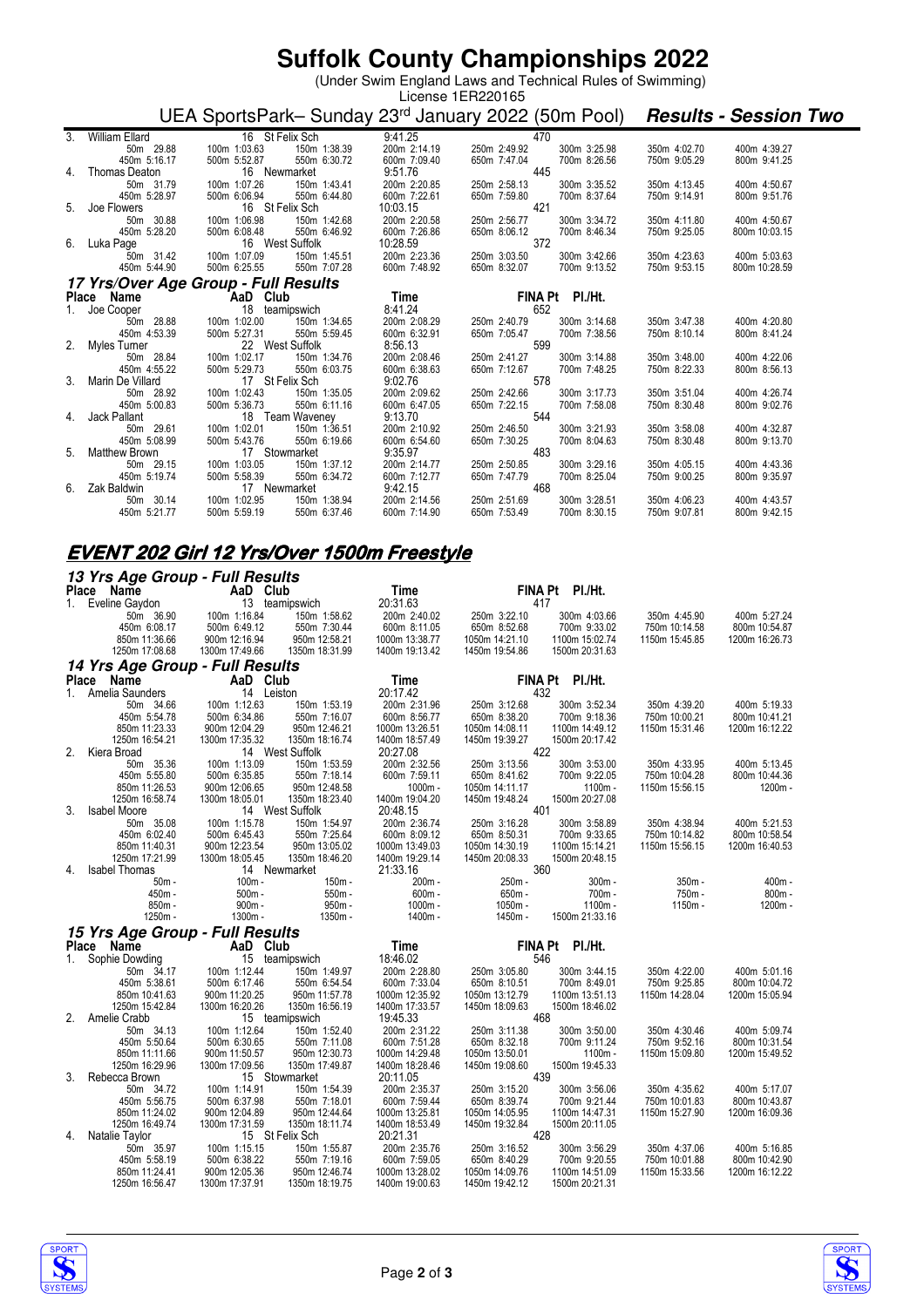## **Suffolk County Championships 2022**

(Under Swim England Laws and Technical Rules of Swimming)

| License 1ER220165 |                                                                                                                                                         |                                                                                             |              |              |                 |              |               |  |
|-------------------|---------------------------------------------------------------------------------------------------------------------------------------------------------|---------------------------------------------------------------------------------------------|--------------|--------------|-----------------|--------------|---------------|--|
|                   |                                                                                                                                                         | UEA SportsPark-Sunday 23 <sup>rd</sup> January 2022 (50m Pool) <b>Results - Session Two</b> |              |              |                 |              |               |  |
| 3.                | William Ellard                                                                                                                                          | 16 St Felix Sch                                                                             | 9:41.25      | 470          |                 |              |               |  |
|                   | 50m 29.88                                                                                                                                               | 150m 1:38.39<br>100m 1:03.63                                                                | 200m 2:14.19 | 250m 2:49.92 | 300m 3:25.98    | 350m 4:02.70 | 400m 4:39.27  |  |
|                   | 450m 5:16.17                                                                                                                                            | 500m 5:52.87<br>550m 6:30.72                                                                | 600m 7:09.40 | 650m 7:47.04 | 700m 8:26.56    | 750m 9:05.29 | 800m 9:41.25  |  |
| 4.                | Thomas Deaton                                                                                                                                           | 16 Newmarket                                                                                | 9:51.76      | 445          |                 |              |               |  |
|                   | 50m 31.79                                                                                                                                               | 100m 1:07.26<br>150m 1:43.41                                                                | 200m 2:20.85 | 250m 2:58.13 | 300m 3:35.52    | 350m 4:13.45 | 400m 4:50.67  |  |
|                   | 450m 5:28.97                                                                                                                                            | 500m 6:06.94<br>550m 6:44.80                                                                | 600m 7:22.61 | 650m 7:59.80 | 700m 8:37.64    | 750m 9:14.91 | 800m 9:51.76  |  |
|                   | 5. Joe Flowers                                                                                                                                          | 16 St Felix Sch                                                                             | 10:03.15     | 421          |                 |              |               |  |
|                   | 50m 30.88                                                                                                                                               | 100m 1:06.98<br>150m 1:42.68                                                                | 200m 2:20.58 | 250m 2:56.77 | 300m 3:34.72    | 350m 4:11.80 | 400m 4:50.67  |  |
|                   | 450m 5:28.20                                                                                                                                            | 550m 6:46.92<br>500m 6:08.48                                                                | 600m 7:26.86 | 650m 8:06.12 | 700m 8:46.34    | 750m 9:25.05 | 800m 10:03.15 |  |
|                   | 6. Luka Page                                                                                                                                            | 16 West Suffolk                                                                             | 10:28.59     | 372          |                 |              |               |  |
|                   | 50m 31.42                                                                                                                                               | 100m 1:07.09<br>150m 1:45.51                                                                | 200m 2:23.36 | 250m 3:03.50 | 300m 3:42.66    | 350m 4:23.63 | 400m 5:03.63  |  |
|                   | 450m 5:44.90                                                                                                                                            | 500m 6:25.55<br>550m 7:07.28                                                                | 600m 7:48.92 | 650m 8:32.07 | 700m 9:13.52    | 750m 9:53.15 | 800m 10:28.59 |  |
|                   |                                                                                                                                                         | 17 Yrs/Over Age Group - Full Results                                                        |              |              |                 |              |               |  |
|                   | Place Name                                                                                                                                              |                                                                                             | Time         |              | FINA Pt PI./Ht. |              |               |  |
|                   | <b>Ce Name Capacity Capacity Capacity Capacity Capacity Capacity Capacity Capacity Capacity Capacity Capacity Capacity Capacity Capacity Capacity C</b> | teamipswich                                                                                 | 8:41.24      | 652          |                 |              |               |  |
|                   | 50m 28.88                                                                                                                                               | 100m 1:02.00<br>150m 1:34.65                                                                | 200m 2:08.29 | 250m 2:40.79 | 300m 3:14.68    | 350m 3:47.38 | 400m 4:20.80  |  |
|                   | 450m 4:53.39                                                                                                                                            | 500m 5:27.31<br>550m 5:59.45                                                                | 600m 6:32.91 | 650m 7:05.47 | 700m 7:38.56    | 750m 8:10.14 | 800m 8:41.24  |  |
|                   | 2. Myles Turner                                                                                                                                         | 22 West Suffolk                                                                             | 8:56.13      | 599          |                 |              |               |  |
|                   | 50m 28.84                                                                                                                                               | 100m 1:02.17<br>150m 1:34.76                                                                | 200m 2:08.46 | 250m 2:41.27 | 300m 3:14.88    | 350m 3:48.00 | 400m 4:22.06  |  |
|                   | 450m 4:55.22                                                                                                                                            | 500m 5:29.73<br>550m 6:03.75                                                                | 600m 6:38.63 | 650m 7:12.67 | 700m 7:48.25    | 750m 8:22.33 | 800m 8:56.13  |  |
|                   | 3. Marin De Villard                                                                                                                                     | 17 St Felix Sch                                                                             | 9:02.76      | 578          |                 |              |               |  |
|                   | 50m 28.92                                                                                                                                               | 100m 1:02.43<br>150m 1:35.05                                                                | 200m 2:09.62 | 250m 2:42.66 | 300m 3:17.73    | 350m 3:51.04 | 400m 4:26.74  |  |
|                   | 450m 5:00.83                                                                                                                                            | 550m 6:11.16<br>500m 5:36.73                                                                | 600m 6:47.05 | 650m 7:22.15 | 700m 7:58.08    | 750m 8:30.48 | 800m 9:02.76  |  |
|                   | 4. Jack Pallant                                                                                                                                         | 18 Team Waveney                                                                             | 9:13.70      | 544          |                 |              |               |  |
|                   | 50m 29.61                                                                                                                                               | 100m 1:02.01<br>150m 1:36.51                                                                | 200m 2:10.92 | 250m 2:46.50 | 300m 3:21.93    | 350m 3:58.08 | 400m 4:32.87  |  |
|                   | 450m 5:08.99                                                                                                                                            | 500m 5:43.76<br>550m 6:19.66                                                                | 600m 6:54.60 | 650m 7:30.25 | 700m 8:04.63    | 750m 8:30.48 | 800m 9:13.70  |  |
|                   | 5. Matthew Brown                                                                                                                                        | 17 Stowmarket                                                                               | 9:35.97      | 483          |                 |              |               |  |
|                   | 50m 29.15                                                                                                                                               | 150m 1:37.12<br>100m 1:03.05                                                                | 200m 2:14.77 | 250m 2:50.85 | 300m 3:29.16    | 350m 4:05.15 | 400m 4:43.36  |  |
|                   | 450m 5:19.74                                                                                                                                            | 550m 6:34.72<br>500m 5:58.39                                                                | 600m 7:12.77 | 650m 7:47.79 | 700m 8:25.04    | 750m 9:00.25 | 800m 9:35.97  |  |
| 6.                | Zak Baldwin                                                                                                                                             | 17 Newmarket                                                                                | 9:42.15      | 468          |                 |              |               |  |
|                   | 50m 30.14                                                                                                                                               | 100m 1:02.95<br>150m 1:38.94                                                                | 200m 2:14.56 | 250m 2:51.69 | 300m 3:28.51    | 350m 4:06.23 | 400m 4:43.57  |  |
|                   | 450m 5:21.77                                                                                                                                            | 500m 5:59.19<br>550m 6:37.46                                                                | 600m 7:14.90 | 650m 7:53.49 | 700m 8:30.15    | 750m 9:07.81 | 800m 9:42.15  |  |

#### **EVENT 202 Girl 12 Yrs/Over 1500m Freestyle**

|  |  | 13 Yrs Age Group - Full Results |
|--|--|---------------------------------|
|  |  |                                 |

|         | Place Name                      | AaD Club                        |                                 | <b>Time</b>                      |                                  | FINA Pt PI./Ht.                  |                |                      |
|---------|---------------------------------|---------------------------------|---------------------------------|----------------------------------|----------------------------------|----------------------------------|----------------|----------------------|
|         | 1. Eveline Gaydon               |                                 | 13 teamipswich                  | 20:31.63                         |                                  | 417                              |                |                      |
|         | 50m 36.90                       | 100m 1:16.84                    | 150m 1:58.62                    | 200m 2:40.02                     | 250m 3:22.10                     | 300m 4:03.66                     | 350m 4:45.90   | 400m 5:27.24         |
|         | 450m 6:08.17                    | 500m 6:49.12                    | 550m 7:30.44                    | 600m 8:11.05                     | 650m 8:52.68                     | 700m 9:33.02                     | 750m 10:14.58  | 800m 10:54.87        |
|         | 850m 11:36.66                   | 900m 12:16.94                   | 950m 12:58.21                   | 1000m 13:38.77                   | 1050m 14:21.10                   | 1100m 15:02.74                   | 1150m 15:45.85 | 1200m 16:26.73       |
|         | 1250m 17:08.68                  | 1300m 17:49.66                  | 1350m 18:31.99                  | 1400m 19:13.42                   | 1450m 19:54.86                   | 1500m 20:31.63                   |                |                      |
|         | 14 Yrs Age Group - Full Results |                                 |                                 |                                  |                                  |                                  |                |                      |
|         | Place Name                      | AaD Club                        |                                 | <b>Time</b>                      |                                  | FINA Pt PI./Ht.                  |                |                      |
|         | 1. Amelia Saunders              | 14 Leiston                      |                                 | 20:17.42                         |                                  | 432                              |                |                      |
|         | 50m 34.66                       | 100m 1:12.63                    | 150m 1:53.19                    | 200m 2:31.96                     | 250m 3:12.68                     | 300m 3:52.34                     | 350m 4:39.20   | 400m 5:19.33         |
|         | 450m 5:54.78                    | 500m 6:34.86                    | 550m 7:16.07                    | 600m 8:56.77                     | 650m 8:38.20                     | 700m 9:18.36                     | 750m 10:00.21  | 800m 10:41.21        |
|         | 850m 11:23.33                   | 900m 12:04.29                   | 950m 12:46.21<br>1350m 18:16.74 | 1000m 13:26.51                   | 1050m 14:08.11                   | 1100m 14:49.12                   | 1150m 15:31.46 | 1200m 16:12.22       |
| 2.      | 1250m 16:54.21<br>Kiera Broad   | 1300m 17:35.32                  | 14 West Suffolk                 | 1400m 18:57.49<br>20:27.08       | 1450m 19:39.27                   | 1500m 20:17.42<br>422            |                |                      |
|         | 50m 35.36                       | 100m 1:13.09                    | 150m 1:53.59                    | 200m 2:32.56                     | 250m 3:13.56                     | 300m 3:53.00                     | 350m 4:33.95   | 400m 5:13.45         |
|         | 450m 5:55.80                    | 500m 6:35.85                    | 550m 7:18.14                    | 600m 7:59.11                     | 650m 8:41.62                     | 700m 9:22.05                     | 750m 10:04.28  | 800m 10:44.36        |
|         | 850m 11:26.53                   | 900m 12:06.65                   | 950m 12:48.58                   | 1000m -                          | 1050m 14:11.17                   | 1100m-                           | 1150m 15:56.15 | 1200m -              |
|         | 1250m 16:58.74                  | 1300m 18:05.01                  | 1350m 18:23.40                  | 1400m 19:04.20                   | 1450m 19:48.24                   | 1500m 20:27.08                   |                |                      |
| 3.      | <b>Isabel Moore</b>             |                                 | 14 West Suffolk                 | 20:48.15                         |                                  | 401                              |                |                      |
|         | 50m 35.08                       | 100m 1:15.78                    | 150m 1:54.97                    | 200m 2:36.74                     | 250m 3:16.28                     | 300m 3:58.89                     | 350m 4:38.94   | 400m 5:21.53         |
|         | 450m 6:02.40                    | 500m 6:45.43                    | 550m 7:25.64                    | 600m 8:09.12                     | 650m 8:50.31                     | 700m 9:33.65                     | 750m 10:14.82  | 800m 10:58.54        |
|         | 850m 11:40.31                   | 900m 12:23.54                   | 950m 13:05.02                   | 1000m 13:49.03                   | 1050m 14:30.19                   | 1100m 15:14.21                   | 1150m 15:56.15 | 1200m 16:40.53       |
|         | 1250m 17:21.99                  | 1300m 18:05.45                  | 1350m 18:46.20                  | 1400m 19:29.14                   | 1450m 20:08.33                   | 1500m 20:48.15                   |                |                      |
| 4.      | <b>Isabel Thomas</b>            |                                 | 14 Newmarket                    | 21:33.16                         |                                  | 360                              |                |                      |
|         | $50m -$<br>450m -               | $100m -$                        | 150m -                          | 200m-<br>$600m -$                | 250m -                           | $300m -$                         | $350m -$       | $400m -$<br>$800m -$ |
|         |                                 | $500m -$                        | $550m -$                        |                                  | 650m -                           |                                  |                |                      |
|         |                                 |                                 |                                 |                                  |                                  | 700m-                            | 750m -         |                      |
|         | $850m -$                        | $900m -$                        | $950m -$                        | 1000m -                          | 1050m -                          | 1100m-                           | 1150m -        | 1200m -              |
|         | 1250m -                         | 1300m -                         | 1350m -                         | 1400m -                          | 1450m -                          | 1500m 21:33.16                   |                |                      |
|         | 15 Yrs Age Group - Full Results |                                 |                                 |                                  |                                  |                                  |                |                      |
|         | Place Name                      | AaD Club                        |                                 | Time                             |                                  | FINA Pt PI./Ht.                  |                |                      |
| $1_{-}$ | Sophie Dowding                  |                                 | 15 teamipswich                  | 18:46.02                         |                                  | 546                              |                |                      |
|         | 50m 34.17                       | 100m 1:12.44                    | 150m 1:49.97                    | 200m 2:28.80                     | 250m 3:05.80                     | 300m 3:44.15                     | 350m 4:22.00   | 400m 5:01.16         |
|         | 450m 5:38.61                    | 500m 6:17.46                    | 550m 6:54.54                    | 600m 7:33.04                     | 650m 8:10.51                     | 700m 8:49.01                     | 750m 9:25.85   | 800m 10:04.72        |
|         | 850m 10:41.63                   | 900m 11:20.25                   | 950m 11:57.78                   | 1000m 12:35.92                   | 1050m 13:12.79                   | 1100m 13:51.13                   | 1150m 14:28.04 | 1200m 15:05.94       |
|         | 1250m 15:42.84                  | 1300m 16:20.26                  | 1350m 16:56.19                  | 1400m 17:33.57                   | 1450m 18:09.63                   | 1500m 18:46.02                   |                |                      |
| 2.      | Amelie Crabb<br>50m 34.13       | 100m 1:12.64                    | 15 teamipswich<br>150m 1:52.40  | 19:45.33<br>200m 2:31.22         | 250m 3:11.38                     | 468<br>300m 3:50.00              | 350m 4:30.46   | 400m 5:09.74         |
|         | 450m 5:50.64                    | 500m 6:30.65                    | 550m 7:11.08                    | 600m 7:51.28                     | 650m 8:32.18                     | 700m 9:11.24                     | 750m 9:52.16   | 800m 10:31.54        |
|         | 850m 11:11.66                   | 900m 11:50.57                   | 950m 12:30.73                   | 1000m 14:29.48                   | 1050m 13:50.01                   | $1100m -$                        | 1150m 15:09.80 | 1200m 15:49.52       |
|         | 1250m 16:29.96                  | 1300m 17:09.56                  | 1350m 17:49.87                  | 1400m 18:28.46                   | 1450m 19:08.60                   | 1500m 19:45.33                   |                |                      |
| 3.      | Rebecca Brown                   |                                 | 15 Stowmarket                   | 20:11.05                         |                                  | 439                              |                |                      |
|         | 50m 34.72                       | 100m 1:14.91                    | 150m 1:54.39                    | 200m 2:35.37                     | 250m 3:15.20                     | 300m 3:56.06                     | 350m 4:35.62   | 400m 5:17.07         |
|         | 450m 5:56.75                    | 500m 6:37.98                    | 550m 7:18.01                    | 600m 7:59.44                     | 650m 8:39.74                     | 700m 9:21.44                     | 750m 10:01.83  | 800m 10:43.87        |
|         | 850m 11:24.02                   | 900m 12:04.89                   | 950m 12:44.64                   | 1000m 13:25.81                   | 1050m 14:05.95                   | 1100m 14:47.31                   | 1150m 15:27.90 | 1200m 16:09.36       |
|         | 1250m 16:49.74                  | 1300m 17:31.59                  | 1350m 18:11.74                  | 1400m 18:53.49                   | 1450m 19:32.84                   | 1500m 20:11.05                   |                |                      |
| 4.      | Natalie Taylor                  |                                 | 15 St Felix Sch                 | 20:21.31                         |                                  | 428                              |                |                      |
|         | 50m 35.97                       | 100m 1:15.15                    | 150m 1:55.87                    | 200m 2:35.76                     | 250m 3:16.52                     | 300m 3:56.29                     | 350m 4:37.06   | 400m 5:16.85         |
|         | 450m 5:58.19                    | 500m 6:38.22                    | 550m 7:19.16                    | 600m 7:59.05                     | 650m 8:40.29                     | 700m 9:20.55                     | 750m 10:01.88  | 800m 10:42.90        |
|         | 850m 11:24.41<br>1250m 16:56.47 | 900m 12:05.36<br>1300m 17:37.91 | 950m 12:46.74<br>1350m 18:19.75 | 1000m 13:28.02<br>1400m 19:00.63 | 1050m 14:09.76<br>1450m 19:42.12 | 1100m 14:51.09<br>1500m 20:21.31 | 1150m 15:33.56 | 1200m 16:12.22       |